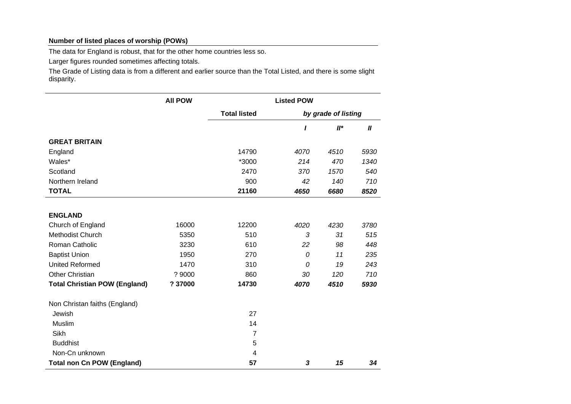## **Number of listed places of worship (POWs)**

The data for England is robust, that for the other home countries less so.

Larger figures rounded sometimes affecting totals.

The Grade of Listing data is from a different and earlier source than the Total Listed, and there is some slight disparity.

|                                      | <b>All POW</b> | <b>Listed POW</b>   |                     |        |                  |
|--------------------------------------|----------------|---------------------|---------------------|--------|------------------|
|                                      |                | <b>Total listed</b> | by grade of listing |        |                  |
|                                      |                |                     | ı                   | $II^*$ | $\boldsymbol{I}$ |
| <b>GREAT BRITAIN</b>                 |                |                     |                     |        |                  |
| England                              |                | 14790               | 4070                | 4510   | 5930             |
| Wales*                               |                | *3000               | 214                 | 470    | 1340             |
| Scotland                             |                | 2470                | 370                 | 1570   | 540              |
| Northern Ireland                     |                | 900                 | 42                  | 140    | 710              |
| <b>TOTAL</b>                         |                | 21160               | 4650                | 6680   | 8520             |
|                                      |                |                     |                     |        |                  |
| <b>ENGLAND</b>                       |                |                     |                     |        |                  |
| Church of England                    | 16000          | 12200               | 4020                | 4230   | 3780             |
| Methodist Church                     | 5350           | 510                 | 3                   | 31     | 515              |
| Roman Catholic                       | 3230           | 610                 | 22                  | 98     | 448              |
| <b>Baptist Union</b>                 | 1950           | 270                 | 0                   | 11     | 235              |
| <b>United Reformed</b>               | 1470           | 310                 | 0                   | 19     | 243              |
| <b>Other Christian</b>               | ? 9000         | 860                 | 30                  | 120    | 710              |
| <b>Total Christian POW (England)</b> | ? 37000        | 14730               | 4070                | 4510   | 5930             |
| Non Christan faiths (England)        |                |                     |                     |        |                  |
| Jewish                               |                | 27                  |                     |        |                  |
| Muslim                               |                | 14                  |                     |        |                  |
| Sikh                                 |                | $\overline{7}$      |                     |        |                  |
| <b>Buddhist</b>                      |                | 5                   |                     |        |                  |
| Non-Cn unknown                       |                | 4                   |                     |        |                  |
| <b>Total non Cn POW (England)</b>    |                | 57                  | 3                   | 15     | 34               |